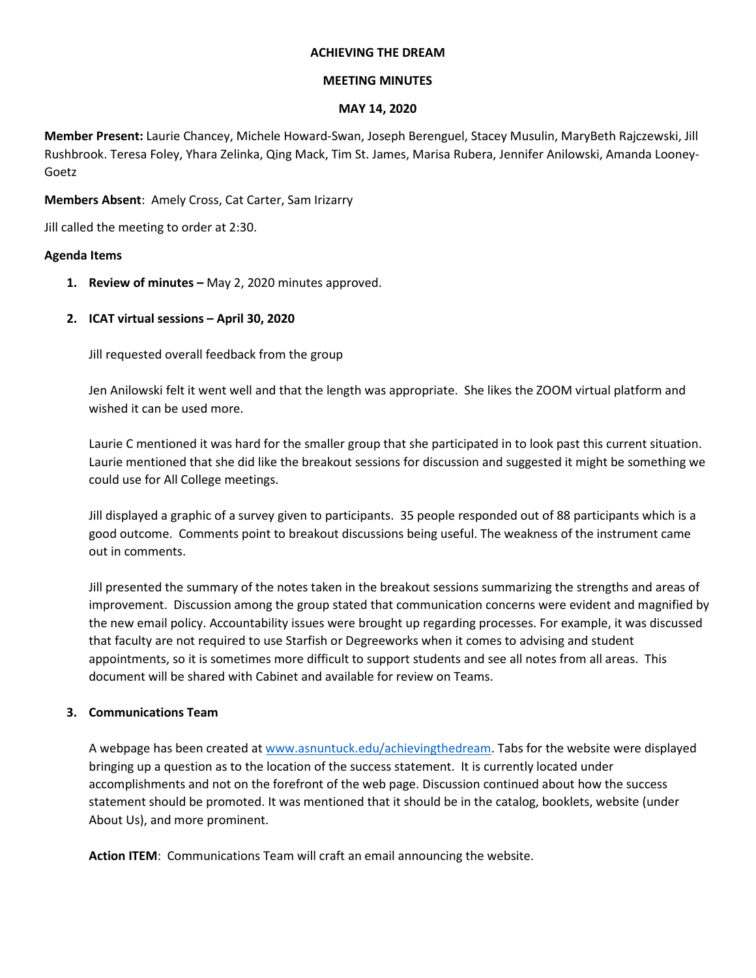### **ACHIEVING THE DREAM**

## **MEETING MINUTES**

#### **MAY 14, 2020**

**Member Present:** Laurie Chancey, Michele Howard-Swan, Joseph Berenguel, Stacey Musulin, MaryBeth Rajczewski, Jill Rushbrook. Teresa Foley, Yhara Zelinka, Qing Mack, Tim St. James, Marisa Rubera, Jennifer Anilowski, Amanda Looney-Goetz

**Members Absent**: Amely Cross, Cat Carter, Sam Irizarry

Jill called the meeting to order at 2:30.

# **Agenda Items**

- **1. Review of minutes –** May 2, 2020 minutes approved.
- **2. ICAT virtual sessions – April 30, 2020**

Jill requested overall feedback from the group

Jen Anilowski felt it went well and that the length was appropriate. She likes the ZOOM virtual platform and wished it can be used more.

Laurie C mentioned it was hard for the smaller group that she participated in to look past this current situation. Laurie mentioned that she did like the breakout sessions for discussion and suggested it might be something we could use for All College meetings.

Jill displayed a graphic of a survey given to participants. 35 people responded out of 88 participants which is a good outcome. Comments point to breakout discussions being useful. The weakness of the instrument came out in comments.

Jill presented the summary of the notes taken in the breakout sessions summarizing the strengths and areas of improvement. Discussion among the group stated that communication concerns were evident and magnified by the new email policy. Accountability issues were brought up regarding processes. For example, it was discussed that faculty are not required to use Starfish or Degreeworks when it comes to advising and student appointments, so it is sometimes more difficult to support students and see all notes from all areas. This document will be shared with Cabinet and available for review on Teams.

# **3. Communications Team**

A webpage has been created at [www.asnuntuck.edu/achievingthedream.](http://www.asnuntuck.edu/achievingthedream) Tabs for the website were displayed bringing up a question as to the location of the success statement. It is currently located under accomplishments and not on the forefront of the web page. Discussion continued about how the success statement should be promoted. It was mentioned that it should be in the catalog, booklets, website (under About Us), and more prominent.

**Action ITEM**: Communications Team will craft an email announcing the website.